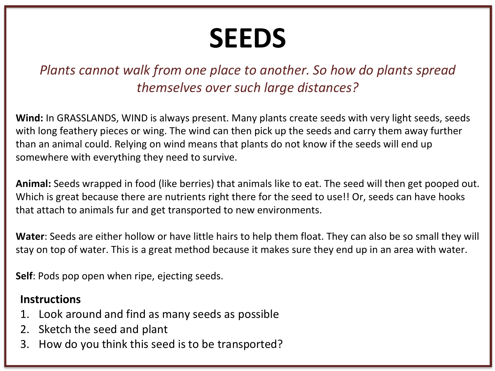## **SEEDS**

#### *Plants cannot walk from one place to another. So how do plants spread themselves over such large distances?*

**Wind:** In GRASSLANDS, WIND is always present. Many plants create seeds with very light seeds, seeds with long feathery pieces or wing. The wind can then pick up the seeds and carry them away further than an animal could. Relying on wind means that plants do not know if the seeds will end up somewhere with everything they need to survive.

**Animal:** Seeds wrapped in food (like berries) that animals like to eat. The seed will then get pooped out. Which is great because there are nutrients right there for the seed to use!! Or, seeds can have hooks that attach to animals fur and get transported to new environments.

**Water**: Seeds are either hollow or have little hairs to help them float. They can also be so small they will stay on top of water. This is a great method because it makes sure they end up in an area with water.

**Self**: Pods pop open when ripe, ejecting seeds.

#### **Instructions**

- 1. Look around and find as many seeds as possible
- 2. Sketch the seed and plant
- 3. How do you think this seed is to be transported?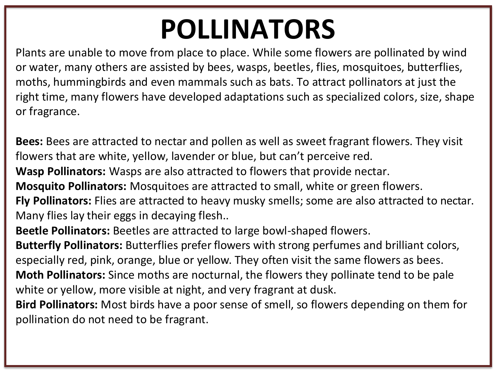### **POLLINATORS**

Plants are unable to move from place to place. While some flowers are pollinated by wind or water, many others are assisted by bees, wasps, beetles, flies, mosquitoes, butterflies, moths, hummingbirds and even mammals such as bats. To attract pollinators at just the right time, many flowers have developed adaptations such as specialized colors, size, shape or fragrance.

**Bees:** Bees are attracted to nectar and pollen as well as sweet fragrant flowers. They visit flowers that are white, yellow, lavender or blue, but can't perceive red.

**Wasp Pollinators:** Wasps are also attracted to flowers that provide nectar.

**Mosquito Pollinators:** Mosquitoes are attracted to small, white or green flowers.

**Fly Pollinators:** Flies are attracted to heavy musky smells; some are also attracted to nectar. Many flies lay their eggs in decaying flesh..

**Beetle Pollinators:** Beetles are attracted to large bowl-shaped flowers.

**Butterfly Pollinators:** Butterflies prefer flowers with strong perfumes and brilliant colors, especially red, pink, orange, blue or yellow. They often visit the same flowers as bees. **Moth Pollinators:** Since moths are nocturnal, the flowers they pollinate tend to be pale

white or yellow, more visible at night, and very fragrant at dusk.

**Bird Pollinators:** Most birds have a poor sense of smell, so flowers depending on them for pollination do not need to be fragrant.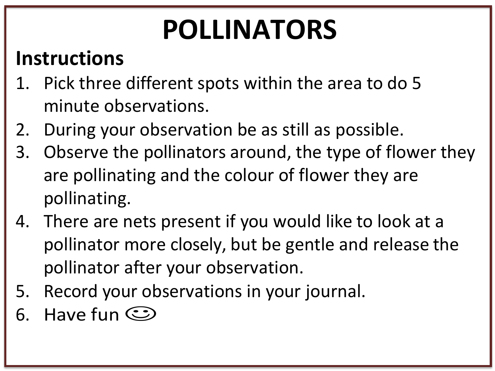# **POLLINATORS**

#### **Instructions**

- 1. Pick three different spots within the area to do 5 minute observations.
- 2. During your observation be as still as possible.
- 3. Observe the pollinators around, the type of flower they are pollinating and the colour of flower they are pollinating.
- 4. There are nets present if you would like to look at a pollinator more closely, but be gentle and release the pollinator after your observation.
- 5. Record your observations in your journal.
- 6. Have fun  $\odot$